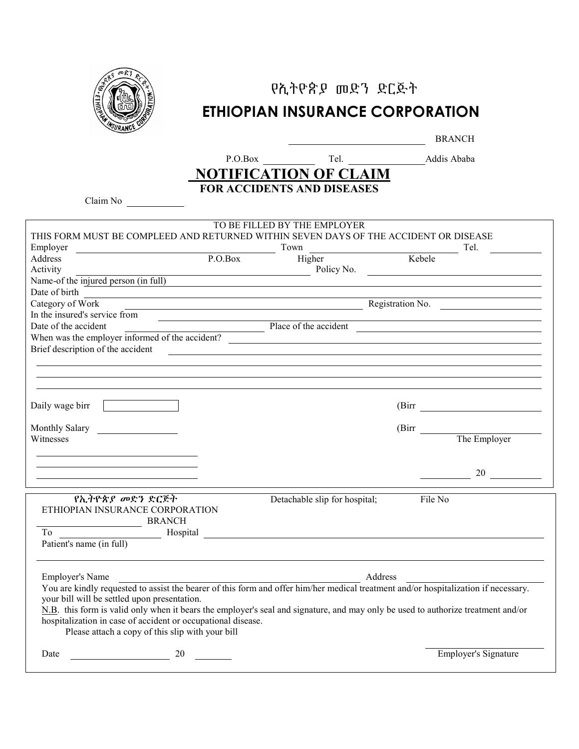

## የኢትዮጵያ መድን ድርጅት ETHIOPIAN INSURANCE CORPORATION

BRANCH

## **NOTIFICATION OF CLAIM** FOR ACCIDENTS AND DISEASES

Claim No

| THIS FORM MUST BE COMPLEED AND RETURNED WITHIN SEVEN DAYS OF THE ACCIDENT OR DISEASE                                              | TO BE FILLED BY THE EMPLOYER  |         |                      |  |
|-----------------------------------------------------------------------------------------------------------------------------------|-------------------------------|---------|----------------------|--|
| Employer                                                                                                                          | Town                          |         | Tel.                 |  |
| P.O.Box<br>Address                                                                                                                | Higher                        |         | Kebele               |  |
| Activity                                                                                                                          | Policy No.                    |         |                      |  |
| Name-of the injured person (in full)                                                                                              |                               |         |                      |  |
| Date of birth                                                                                                                     |                               |         |                      |  |
| Category of Work                                                                                                                  |                               |         | Registration No.     |  |
| In the insured's service from                                                                                                     |                               |         |                      |  |
|                                                                                                                                   |                               |         |                      |  |
| Date of the accident<br>When was the employer informed of the accident?                                                           |                               |         |                      |  |
| Brief description of the accident                                                                                                 |                               |         |                      |  |
|                                                                                                                                   |                               |         |                      |  |
|                                                                                                                                   |                               |         |                      |  |
|                                                                                                                                   |                               |         |                      |  |
| Daily wage birr                                                                                                                   |                               |         |                      |  |
|                                                                                                                                   |                               |         |                      |  |
| Monthly Salary                                                                                                                    |                               |         | (Birr The Employer   |  |
| Witnesses                                                                                                                         |                               |         |                      |  |
|                                                                                                                                   |                               |         |                      |  |
|                                                                                                                                   |                               |         |                      |  |
|                                                                                                                                   |                               |         |                      |  |
|                                                                                                                                   |                               |         |                      |  |
| የኢትዮጵያ መድን ድርጅት                                                                                                                   | Detachable slip for hospital; |         | File No              |  |
| ETHIOPIAN INSURANCE CORPORATION                                                                                                   |                               |         |                      |  |
| <b>BRANCH</b>                                                                                                                     |                               |         |                      |  |
| To<br>Hospital                                                                                                                    |                               |         |                      |  |
| Patient's name (in full)                                                                                                          |                               |         |                      |  |
|                                                                                                                                   |                               |         |                      |  |
| <b>Employer's Name</b>                                                                                                            |                               | Address |                      |  |
| Propriet is interested to assist the bearer of this form and offer him/her medical treatment and/or hospitalization if necessary. |                               |         |                      |  |
| your bill will be settled upon presentation.                                                                                      |                               |         |                      |  |
| N.B. this form is valid only when it bears the employer's seal and signature, and may only be used to authorize treatment and/or  |                               |         |                      |  |
| hospitalization in case of accident or occupational disease.                                                                      |                               |         |                      |  |
| Please attach a copy of this slip with your bill                                                                                  |                               |         |                      |  |
| 20<br>Date                                                                                                                        |                               |         | Employer's Signature |  |
|                                                                                                                                   |                               |         |                      |  |